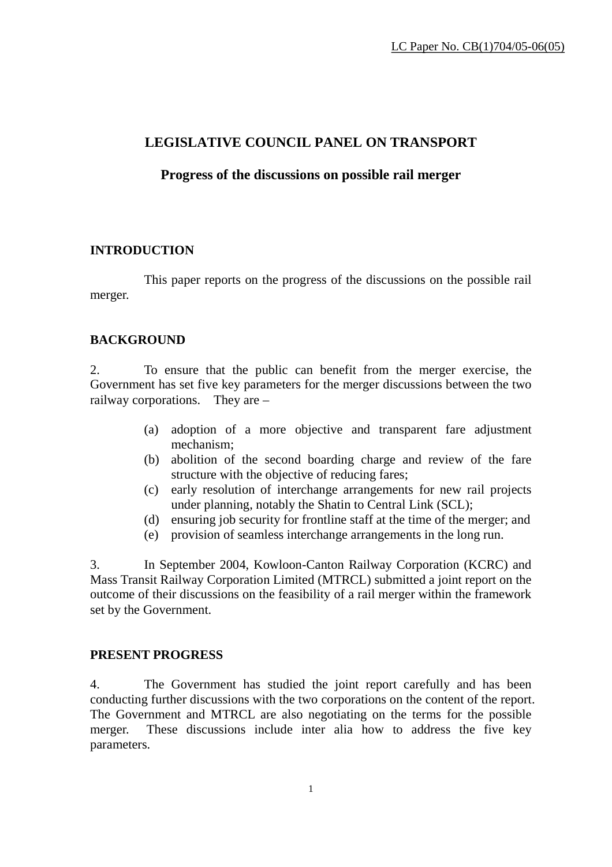# **LEGISLATIVE COUNCIL PANEL ON TRANSPORT**

### **Progress of the discussions on possible rail merger**

## **INTRODUCTION**

 This paper reports on the progress of the discussions on the possible rail merger.

### **BACKGROUND**

2. To ensure that the public can benefit from the merger exercise, the Government has set five key parameters for the merger discussions between the two railway corporations. They are –

- (a) adoption of a more objective and transparent fare adjustment mechanism;
- (b) abolition of the second boarding charge and review of the fare structure with the objective of reducing fares;
- (c) early resolution of interchange arrangements for new rail projects under planning, notably the Shatin to Central Link (SCL);
- (d) ensuring job security for frontline staff at the time of the merger; and
- (e) provision of seamless interchange arrangements in the long run.

3. In September 2004, Kowloon-Canton Railway Corporation (KCRC) and Mass Transit Railway Corporation Limited (MTRCL) submitted a joint report on the outcome of their discussions on the feasibility of a rail merger within the framework set by the Government.

#### **PRESENT PROGRESS**

4. The Government has studied the joint report carefully and has been conducting further discussions with the two corporations on the content of the report. The Government and MTRCL are also negotiating on the terms for the possible merger. These discussions include inter alia how to address the five key parameters.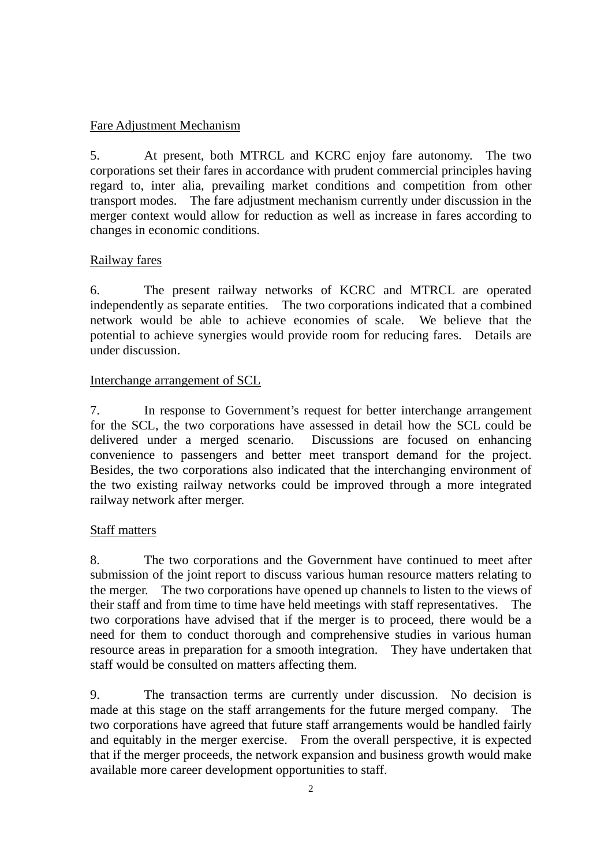### Fare Adjustment Mechanism

5. At present, both MTRCL and KCRC enjoy fare autonomy. The two corporations set their fares in accordance with prudent commercial principles having regard to, inter alia, prevailing market conditions and competition from other transport modes. The fare adjustment mechanism currently under discussion in the merger context would allow for reduction as well as increase in fares according to changes in economic conditions.

### Railway fares

6. The present railway networks of KCRC and MTRCL are operated independently as separate entities. The two corporations indicated that a combined network would be able to achieve economies of scale. We believe that the potential to achieve synergies would provide room for reducing fares. Details are under discussion.

### Interchange arrangement of SCL

7. In response to Government's request for better interchange arrangement for the SCL, the two corporations have assessed in detail how the SCL could be delivered under a merged scenario. Discussions are focused on enhancing convenience to passengers and better meet transport demand for the project. Besides, the two corporations also indicated that the interchanging environment of the two existing railway networks could be improved through a more integrated railway network after merger.

#### Staff matters

8. The two corporations and the Government have continued to meet after submission of the joint report to discuss various human resource matters relating to the merger. The two corporations have opened up channels to listen to the views of their staff and from time to time have held meetings with staff representatives. The two corporations have advised that if the merger is to proceed, there would be a need for them to conduct thorough and comprehensive studies in various human resource areas in preparation for a smooth integration. They have undertaken that staff would be consulted on matters affecting them.

9. The transaction terms are currently under discussion. No decision is made at this stage on the staff arrangements for the future merged company. The two corporations have agreed that future staff arrangements would be handled fairly and equitably in the merger exercise. From the overall perspective, it is expected that if the merger proceeds, the network expansion and business growth would make available more career development opportunities to staff.